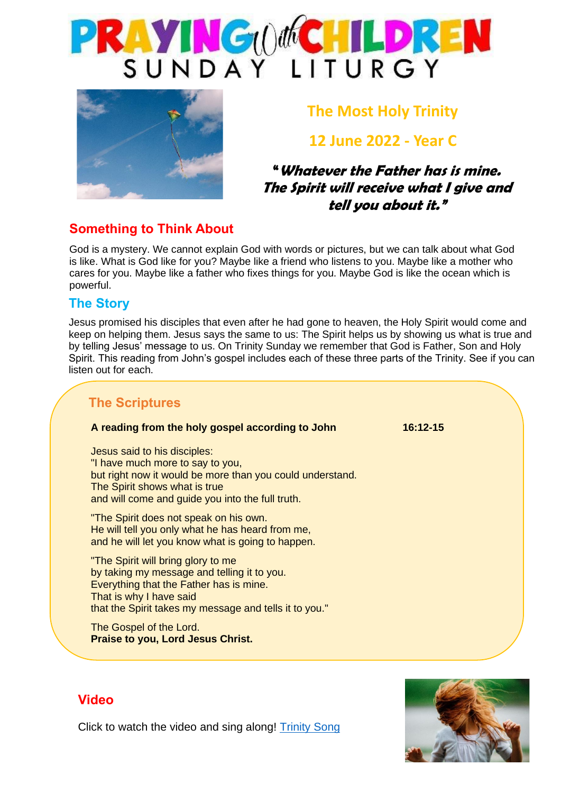



# **The Most Holy Trinity**

# **12 June 2022 - Year C**

## **"Whatever the Father has is mine. The Spirit will receive what I give and tell you about it."**

### **Something to Think About**

God is a mystery. We cannot explain God with words or pictures, but we can talk about what God is like. What is God like for you? Maybe like a friend who listens to you. Maybe like a mother who cares for you. Maybe like a father who fixes things for you. Maybe God is like the ocean which is powerful.

#### **The Story**

Jesus promised his disciples that even after he had gone to heaven, the Holy Spirit would come and keep on helping them. Jesus says the same to us: The Spirit helps us by showing us what is true and by telling Jesus' message to us. On Trinity Sunday we remember that God is Father, Son and Holy Spirit. This reading from John's gospel includes each of these three parts of the Trinity. See if you can listen out for each.

### **The Scriptures**

#### **A reading from the holy gospel according to John 16:12-15**

Jesus said to his disciples: "I have much more to say to you, but right now it would be more than you could understand. The Spirit shows what is true and will come and guide you into the full truth.

"The Spirit does not speak on his own. He will tell you only what he has heard from me, and he will let you know what is going to happen.

"The Spirit will bring glory to me by taking my message and telling it to you. Everything that the Father has is mine. That is why I have said that the Spirit takes my message and tells it to you."

The Gospel of the Lord. **Praise to you, Lord Jesus Christ.**

The Gospel of the Lord. **Praise to you, Lord Jesus Christ.**



### **Video**

Click to watch the video and sing along! [Trinity Song](https://www.youtube.com/watch?v=GnUVjLJ6Kas)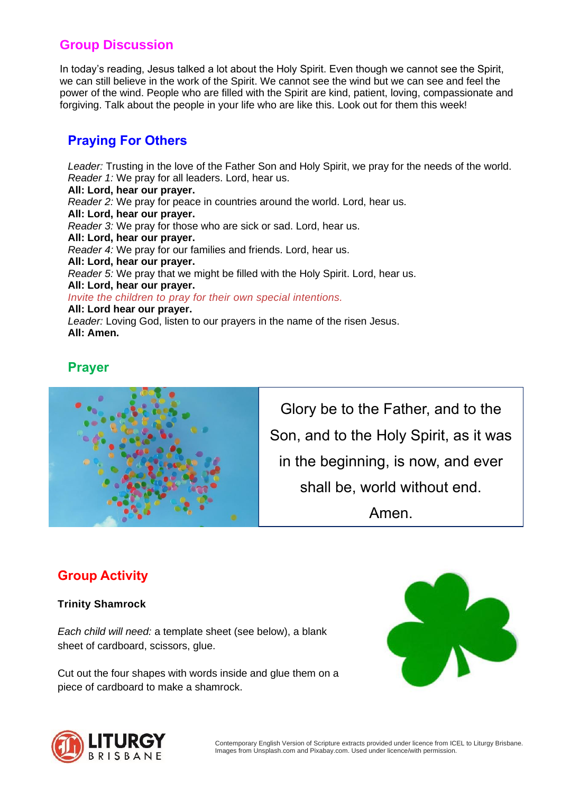## **Group Discussion**

In today's reading, Jesus talked a lot about the Holy Spirit. Even though we cannot see the Spirit, we can still believe in the work of the Spirit. We cannot see the wind but we can see and feel the power of the wind. People who are filled with the Spirit are kind, patient, loving, compassionate and forgiving. Talk about the people in your life who are like this. Look out for them this week!

## **Praying For Others**

*Leader:* Trusting in the love of the Father Son and Holy Spirit, we pray for the needs of the world. *Reader 1:* We pray for all leaders. Lord, hear us. **All: Lord, hear our prayer.** *Reader 2:* We pray for peace in countries around the world. Lord, hear us. **All: Lord, hear our prayer.** *Reader 3:* We pray for those who are sick or sad. Lord, hear us. **All: Lord, hear our prayer.** *Reader 4:* We pray for our families and friends. Lord, hear us. **All: Lord, hear our prayer.** *Reader* 5: We pray that we might be filled with the Holy Spirit. Lord, hear us. **All: Lord, hear our prayer.** *Invite the children to pray for their own special intentions.* **All: Lord hear our prayer.** *Leader:* Loving God, listen to our prayers in the name of the risen Jesus. **All: Amen.**

### **Prayer**



Glory be to the Father, and to the Son, and to the Holy Spirit, as it was in the beginning, is now, and ever shall be, world without end. Amen.

# **Group Activity**

#### **Trinity Shamrock**

*Each child will need:* a template sheet (see below), a blank sheet of cardboard, scissors, glue.

Cut out the four shapes with words inside and glue them on a piece of cardboard to make a shamrock.



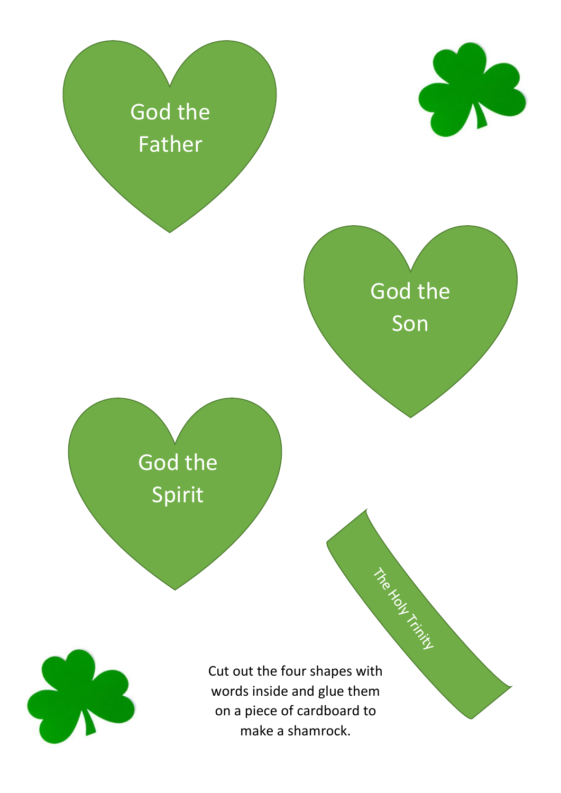